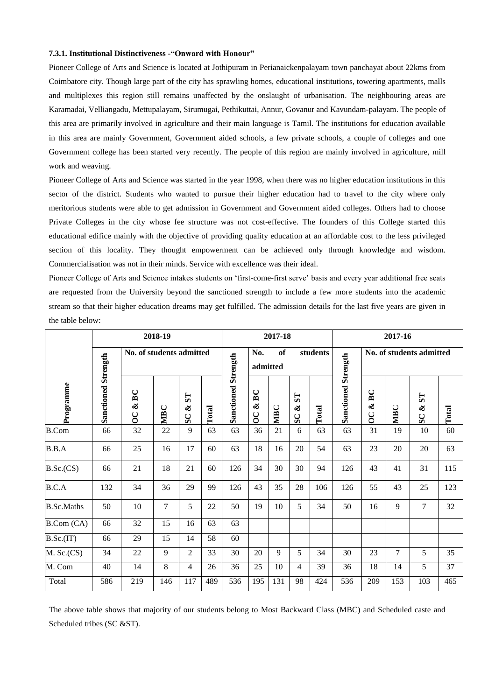## **7.3.1. Institutional Distinctiveness -"Onward with Honour"**

Pioneer College of Arts and Science is located at Jothipuram in Perianaickenpalayam town panchayat about 22kms from Coimbatore city. Though large part of the city has sprawling homes, educational institutions, towering apartments, malls and multiplexes this region still remains unaffected by the onslaught of urbanisation. The neighbouring areas are Karamadai, Velliangadu, Mettupalayam, Sirumugai, Pethikuttai, Annur, Govanur and Kavundam-palayam. The people of this area are primarily involved in agriculture and their main language is Tamil. The institutions for education available in this area are mainly Government, Government aided schools, a few private schools, a couple of colleges and one Government college has been started very recently. The people of this region are mainly involved in agriculture, mill work and weaving.

Pioneer College of Arts and Science was started in the year 1998, when there was no higher education institutions in this sector of the district. Students who wanted to pursue their higher education had to travel to the city where only meritorious students were able to get admission in Government and Government aided colleges. Others had to choose Private Colleges in the city whose fee structure was not cost-effective. The founders of this College started this educational edifice mainly with the objective of providing quality education at an affordable cost to the less privileged section of this locality. They thought empowerment can be achieved only through knowledge and wisdom. Commercialisation was not in their minds. Service with excellence was their ideal.

Pioneer College of Arts and Science intakes students on 'first-come-first serve' basis and every year additional free seats are requested from the University beyond the sanctioned strength to include a few more students into the academic stream so that their higher education dreams may get fulfilled. The admission details for the last five years are given in the table below:

|                   | 2018-19                    |                                  |                |                      |       | 2017-18                    |                                  |     |                                  |       | 2017-16                    |                           |                |                |       |
|-------------------|----------------------------|----------------------------------|----------------|----------------------|-------|----------------------------|----------------------------------|-----|----------------------------------|-------|----------------------------|---------------------------|----------------|----------------|-------|
|                   | <b>Sanctioned Strength</b> | No. of students admitted         |                |                      |       |                            | <b>of</b><br>No.<br>admitted     |     | students                         |       |                            | No. of students admitted  |                |                |       |
| Programme         |                            | BC<br>$\infty$<br>$\overline{O}$ | MBC            | TS<br>$\infty$<br>SC | Total | <b>Sanctioned Strength</b> | BC<br>$\infty$<br>$\overline{O}$ | MBC | $\mathbf{L}$ S<br>$\infty$<br>SC | Total | <b>Sanctioned Strength</b> | BC<br>ళ<br>$\overline{O}$ | <b>NIBC</b>    | xST<br>SC      | Total |
| <b>B.Com</b>      | 66                         | 32                               | $22\,$         | 9                    | 63    | 63                         | 36                               | 21  | 6                                | 63    | 63                         | 31                        | 19             | 10             | 60    |
| B.B.A             | 66                         | 25                               | 16             | 17                   | 60    | 63                         | 18                               | 16  | 20                               | 54    | 63                         | 23                        | 20             | 20             | 63    |
| B.Sc.(CS)         | 66                         | 21                               | 18             | 21                   | 60    | 126                        | 34                               | 30  | 30                               | 94    | 126                        | 43                        | 41             | 31             | 115   |
| B.C.A             | 132                        | 34                               | 36             | 29                   | 99    | 126                        | 43                               | 35  | 28                               | 106   | 126                        | 55                        | 43             | 25             | 123   |
| <b>B.Sc.Maths</b> | 50                         | 10                               | $\overline{7}$ | 5                    | 22    | 50                         | 19                               | 10  | 5                                | 34    | 50                         | 16                        | 9              | $\overline{7}$ | 32    |
| B. Com (CA)       | 66                         | 32                               | 15             | 16                   | 63    | 63                         |                                  |     |                                  |       |                            |                           |                |                |       |
| B.Sc.(IT)         | 66                         | 29                               | 15             | 14                   | 58    | 60                         |                                  |     |                                  |       |                            |                           |                |                |       |
| $M.$ Sc. $(CS)$   | 34                         | 22                               | 9              | $\overline{2}$       | 33    | 30                         | 20                               | 9   | 5                                | 34    | 30                         | 23                        | $\overline{7}$ | 5              | 35    |
| M. Com            | 40                         | 14                               | $8\,$          | 4                    | 26    | 36                         | 25                               | 10  | $\overline{4}$                   | 39    | 36                         | 18                        | 14             | 5              | 37    |
| Total             | 586                        | 219                              | 146            | 117                  | 489   | 536                        | 195                              | 131 | 98                               | 424   | 536                        | 209                       | 153            | 103            | 465   |

The above table shows that majority of our students belong to Most Backward Class (MBC) and Scheduled caste and Scheduled tribes (SC &ST).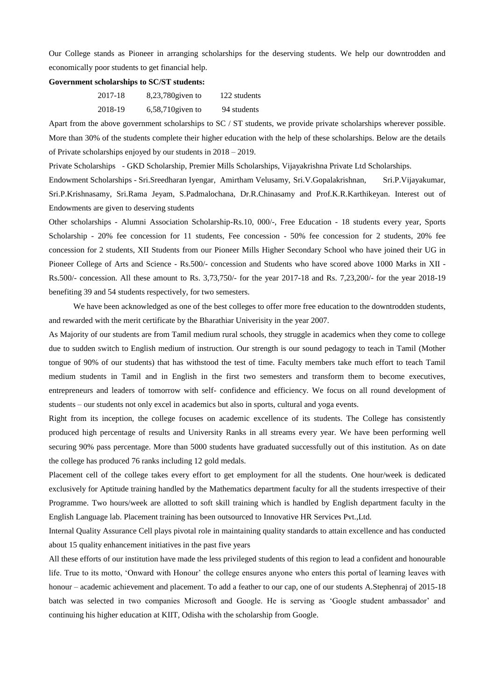Our College stands as Pioneer in arranging scholarships for the deserving students. We help our downtrodden and economically poor students to get financial help.

## **Government scholarships to SC/ST students:**

| 2017-18 | $8,23,780$ given to | 122 students |
|---------|---------------------|--------------|
| 2018-19 | $6,58,710$ given to | 94 students  |

Apart from the above government scholarships to SC / ST students, we provide private scholarships wherever possible. More than 30% of the students complete their higher education with the help of these scholarships. Below are the details of Private scholarships enjoyed by our students in 2018 – 2019.

Private Scholarships - GKD Scholarship, Premier Mills Scholarships, Vijayakrishna Private Ltd Scholarships.

Endowment Scholarships - Sri.Sreedharan Iyengar, Amirtham Velusamy, Sri.V.Gopalakrishnan, Sri.P.Vijayakumar, Sri.P.Krishnasamy, Sri.Rama Jeyam, S.Padmalochana, Dr.R.Chinasamy and Prof.K.R.Karthikeyan. Interest out of Endowments are given to deserving students

Other scholarships - Alumni Association Scholarship-Rs.10, 000/-, Free Education - 18 students every year, Sports Scholarship - 20% fee concession for 11 students, Fee concession - 50% fee concession for 2 students, 20% fee concession for 2 students, XII Students from our Pioneer Mills Higher Secondary School who have joined their UG in Pioneer College of Arts and Science - Rs.500/- concession and Students who have scored above 1000 Marks in XII - Rs.500/- concession. All these amount to Rs. 3,73,750/- for the year 2017-18 and Rs. 7,23,200/- for the year 2018-19 benefiting 39 and 54 students respectively, for two semesters.

We have been acknowledged as one of the best colleges to offer more free education to the downtrodden students, and rewarded with the merit certificate by the Bharathiar Univerisity in the year 2007.

As Majority of our students are from Tamil medium rural schools, they struggle in academics when they come to college due to sudden switch to English medium of instruction. Our strength is our sound pedagogy to teach in Tamil (Mother tongue of 90% of our students) that has withstood the test of time. Faculty members take much effort to teach Tamil medium students in Tamil and in English in the first two semesters and transform them to become executives, entrepreneurs and leaders of tomorrow with self- confidence and efficiency. We focus on all round development of students – our students not only excel in academics but also in sports, cultural and yoga events.

Right from its inception, the college focuses on academic excellence of its students. The College has consistently produced high percentage of results and University Ranks in all streams every year. We have been performing well securing 90% pass percentage. More than 5000 students have graduated successfully out of this institution. As on date the college has produced 76 ranks including 12 gold medals.

Placement cell of the college takes every effort to get employment for all the students. One hour/week is dedicated exclusively for Aptitude training handled by the Mathematics department faculty for all the students irrespective of their Programme. Two hours/week are allotted to soft skill training which is handled by English department faculty in the English Language lab. Placement training has been outsourced to Innovative HR Services Pvt.,Ltd.

Internal Quality Assurance Cell plays pivotal role in maintaining quality standards to attain excellence and has conducted about 15 quality enhancement initiatives in the past five years

All these efforts of our institution have made the less privileged students of this region to lead a confident and honourable life. True to its motto, 'Onward with Honour' the college ensures anyone who enters this portal of learning leaves with honour – academic achievement and placement. To add a feather to our cap, one of our students A.Stephenraj of 2015-18 batch was selected in two companies Microsoft and Google. He is serving as 'Google student ambassador' and continuing his higher education at KIIT, Odisha with the scholarship from Google.